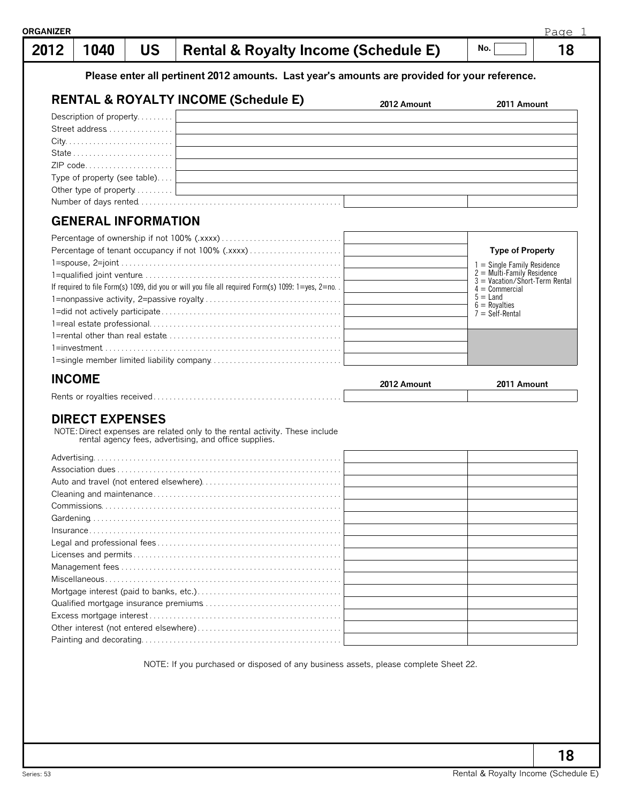| ≀GANIZER | 1040                         |           |                                                                                                                                       |             | Page 1<br>No.                                                 |
|----------|------------------------------|-----------|---------------------------------------------------------------------------------------------------------------------------------------|-------------|---------------------------------------------------------------|
| 2012     |                              | <b>US</b> | <b>Rental &amp; Royalty Income (Schedule E)</b>                                                                                       |             | 18                                                            |
|          |                              |           | Please enter all pertinent 2012 amounts. Last year's amounts are provided for your reference.                                         |             |                                                               |
|          |                              |           | <b>RENTAL &amp; ROYALTY INCOME (Schedule E)</b>                                                                                       | 2012 Amount | 2011 Amount                                                   |
|          | Description of property      |           |                                                                                                                                       |             |                                                               |
|          | Street address               |           |                                                                                                                                       |             |                                                               |
|          |                              |           |                                                                                                                                       |             |                                                               |
|          |                              |           |                                                                                                                                       |             |                                                               |
|          | ZIP code                     |           |                                                                                                                                       |             |                                                               |
|          | Type of property (see table) |           |                                                                                                                                       |             |                                                               |
|          |                              |           |                                                                                                                                       |             |                                                               |
|          |                              |           |                                                                                                                                       |             |                                                               |
|          | <b>GENERAL INFORMATION</b>   |           |                                                                                                                                       |             |                                                               |
|          |                              |           |                                                                                                                                       |             |                                                               |
|          |                              |           |                                                                                                                                       |             |                                                               |
|          |                              |           |                                                                                                                                       |             | <b>Type of Property</b>                                       |
|          |                              |           |                                                                                                                                       |             | $1 =$ Single Family Residence<br>$2 =$ Multi-Family Residence |
|          |                              |           | If required to file Form(s) 1099, did you or will you file all required Form(s) 1099: 1=yes, 2=no. .                                  |             | $3 =$ Vacation/Short-Term Rental                              |
|          |                              |           |                                                                                                                                       |             | $4 =$ Commercial<br>$5 =$ Land                                |
|          |                              |           |                                                                                                                                       |             | $6 = \text{Royalties}$<br>$7 =$ Self-Rental                   |
|          |                              |           |                                                                                                                                       |             |                                                               |
|          |                              |           |                                                                                                                                       |             |                                                               |
|          |                              |           |                                                                                                                                       |             |                                                               |
|          |                              |           |                                                                                                                                       |             |                                                               |
|          | <b>INCOME</b>                |           |                                                                                                                                       | 2012 Amount | 2011 Amount                                                   |
|          |                              |           |                                                                                                                                       |             |                                                               |
|          |                              |           |                                                                                                                                       |             |                                                               |
|          | <b>DIRECT EXPENSES</b>       |           |                                                                                                                                       |             |                                                               |
|          |                              |           | NOTE: Direct expenses are related only to the rental activity. These include<br>rental agency fees, advertising, and office supplies. |             |                                                               |
|          |                              |           |                                                                                                                                       |             |                                                               |
|          |                              |           |                                                                                                                                       |             |                                                               |
|          |                              |           |                                                                                                                                       |             |                                                               |
|          |                              |           |                                                                                                                                       |             |                                                               |
|          |                              |           |                                                                                                                                       |             |                                                               |
|          |                              |           |                                                                                                                                       |             |                                                               |
|          |                              |           |                                                                                                                                       |             |                                                               |
|          |                              |           |                                                                                                                                       |             |                                                               |
|          |                              |           |                                                                                                                                       |             |                                                               |
|          |                              |           |                                                                                                                                       |             |                                                               |
|          |                              |           |                                                                                                                                       |             |                                                               |
|          |                              |           |                                                                                                                                       |             |                                                               |
|          |                              |           |                                                                                                                                       |             |                                                               |
|          |                              |           |                                                                                                                                       |             |                                                               |
|          |                              |           |                                                                                                                                       |             |                                                               |

NOTE: If you purchased or disposed of any business assets, please complete Sheet 22.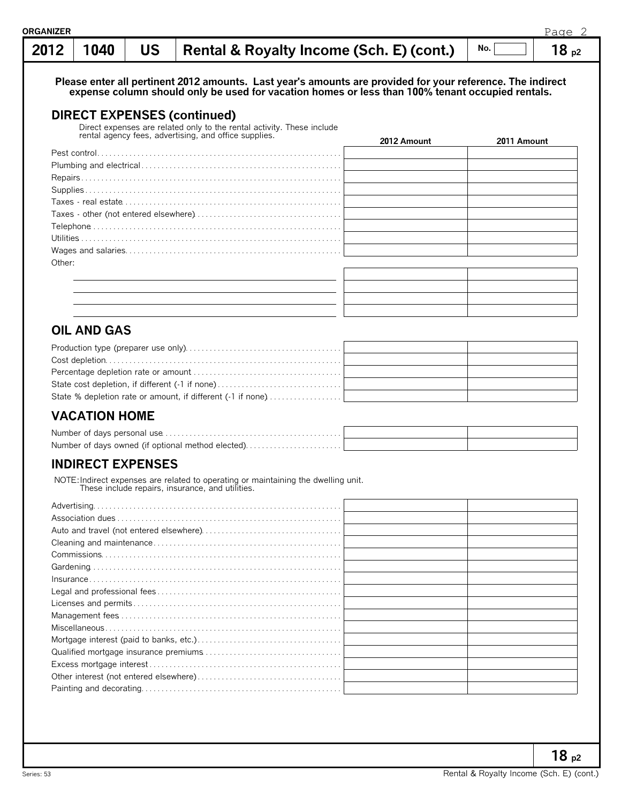| 2012   | 1040                     | <b>US</b> | Rental & Royalty Income (Sch. E) (cont.)                                                                                                                                                                       |             | No.         | 18p2 |
|--------|--------------------------|-----------|----------------------------------------------------------------------------------------------------------------------------------------------------------------------------------------------------------------|-------------|-------------|------|
|        |                          |           | Please enter all pertinent 2012 amounts. Last year's amounts are provided for your reference. The indirect<br>expense column should only be used for vacation homes or less than 100% tenant occupied rentals. |             |             |      |
|        |                          |           | <b>DIRECT EXPENSES (continued)</b>                                                                                                                                                                             |             |             |      |
|        |                          |           | Direct expenses are related only to the rental activity. These include rental agency fees, advertising, and office supplies.                                                                                   |             |             |      |
|        |                          |           |                                                                                                                                                                                                                | 2012 Amount | 2011 Amount |      |
|        |                          |           |                                                                                                                                                                                                                |             |             |      |
|        |                          |           |                                                                                                                                                                                                                |             |             |      |
|        |                          |           |                                                                                                                                                                                                                |             |             |      |
|        |                          |           |                                                                                                                                                                                                                |             |             |      |
|        |                          |           |                                                                                                                                                                                                                |             |             |      |
|        |                          |           |                                                                                                                                                                                                                |             |             |      |
|        |                          |           |                                                                                                                                                                                                                |             |             |      |
|        |                          |           |                                                                                                                                                                                                                |             |             |      |
|        |                          |           |                                                                                                                                                                                                                |             |             |      |
| Other: |                          |           |                                                                                                                                                                                                                |             |             |      |
|        |                          |           |                                                                                                                                                                                                                |             |             |      |
|        |                          |           |                                                                                                                                                                                                                |             |             |      |
|        |                          |           |                                                                                                                                                                                                                |             |             |      |
|        |                          |           |                                                                                                                                                                                                                |             |             |      |
|        | <b>OIL AND GAS</b>       |           |                                                                                                                                                                                                                |             |             |      |
|        |                          |           |                                                                                                                                                                                                                |             |             |      |
|        |                          |           | State % depletion rate or amount, if different (-1 if none)                                                                                                                                                    |             |             |      |
|        | <b>VACATION HOME</b>     |           |                                                                                                                                                                                                                |             |             |      |
|        |                          |           |                                                                                                                                                                                                                |             |             |      |
|        |                          |           | Number of days owned (if optional method elected)                                                                                                                                                              |             |             |      |
|        | <b>INDIRECT EXPENSES</b> |           |                                                                                                                                                                                                                |             |             |      |
|        |                          |           | NOTE: Indirect expenses are related to operating or maintaining the dwelling unit.<br>These include repairs, insurance, and utilities.                                                                         |             |             |      |
|        |                          |           |                                                                                                                                                                                                                |             |             |      |
|        |                          |           |                                                                                                                                                                                                                |             |             |      |
|        |                          |           |                                                                                                                                                                                                                |             |             |      |
|        |                          |           |                                                                                                                                                                                                                |             |             |      |
|        |                          |           |                                                                                                                                                                                                                |             |             |      |
|        |                          |           |                                                                                                                                                                                                                |             |             |      |
|        |                          |           |                                                                                                                                                                                                                |             |             |      |
|        |                          |           |                                                                                                                                                                                                                |             |             |      |
|        |                          |           |                                                                                                                                                                                                                |             |             |      |
|        |                          |           |                                                                                                                                                                                                                |             |             |      |
|        |                          |           |                                                                                                                                                                                                                |             |             |      |
|        |                          |           |                                                                                                                                                                                                                |             |             |      |
|        |                          |           |                                                                                                                                                                                                                |             |             |      |
|        |                          |           |                                                                                                                                                                                                                |             |             |      |
|        |                          |           |                                                                                                                                                                                                                |             |             |      |
|        |                          |           |                                                                                                                                                                                                                |             |             |      |
|        |                          |           |                                                                                                                                                                                                                |             |             |      |

**18 p2**

Page 2

**ORGANIZER**